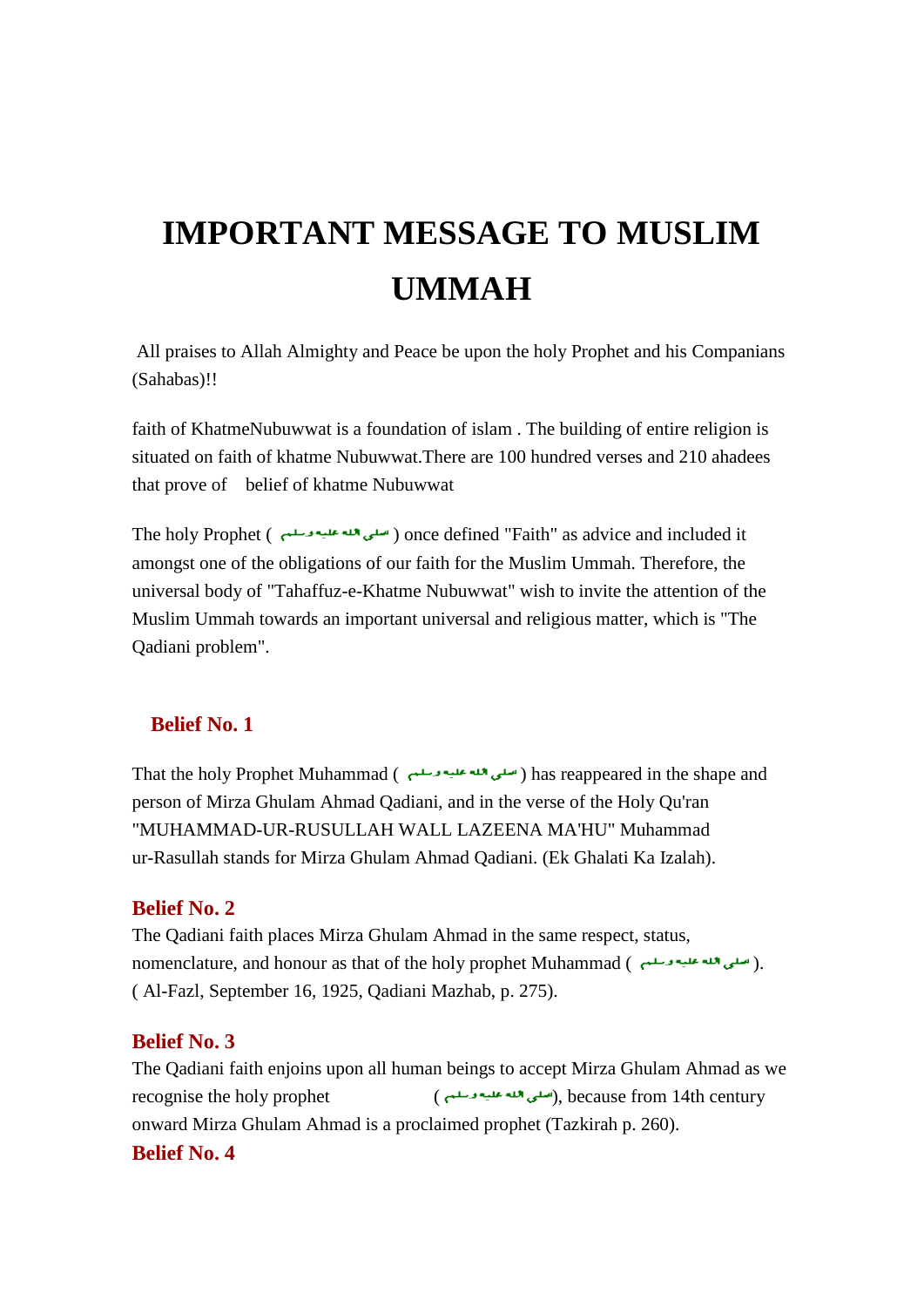# **IMPORTANT MESSAGE TO MUSLIM UMMAH**

All praises to Allah Almighty and Peace be upon the holy Prophet and his Companians (Sahabas)!!

faith of KhatmeNubuwwat is a foundation of islam . The building of entire religion is situated on faith of khatme Nubuwwat.There are 100 hundred verses and 210 ahadees that prove of belief of khatme Nubuwwat

The holy Prophet ( ) once defined "Faith" as advice and included it amongst one of the obligations of our faith for the Muslim Ummah. Therefore, the universal body of "Tahaffuz-e-Khatme Nubuwwat" wish to invite the attention of the Muslim Ummah towards an important universal and religious matter, which is "The Qadiani problem".

## **Belief No. 1**

That the holy Prophet Muhammad ( ) has reappeared in the shape and person of Mirza Ghulam Ahmad Qadiani, and in the verse of the Holy Qu'ran "MUHAMMAD-UR-RUSULLAH WALL LAZEENA MA'HU" Muhammad ur-Rasullah stands for Mirza Ghulam Ahmad Qadiani. (Ek Ghalati Ka Izalah).

#### **Belief No. 2**

The Qadiani faith places Mirza Ghulam Ahmad in the same respect, status, nomenclature, and honour as that of the holy prophet Muhammad ( ). ( Al-Fazl, September 16, 1925, Qadiani Mazhab, p. 275).

#### **Belief No. 3**

The Qadiani faith enjoins upon all human beings to accept Mirza Ghulam Ahmad as we recognise the holy prophet (............... . . ( ), because from 14th century onward Mirza Ghulam Ahmad is a proclaimed prophet (Tazkirah p. 260). **Belief No. 4**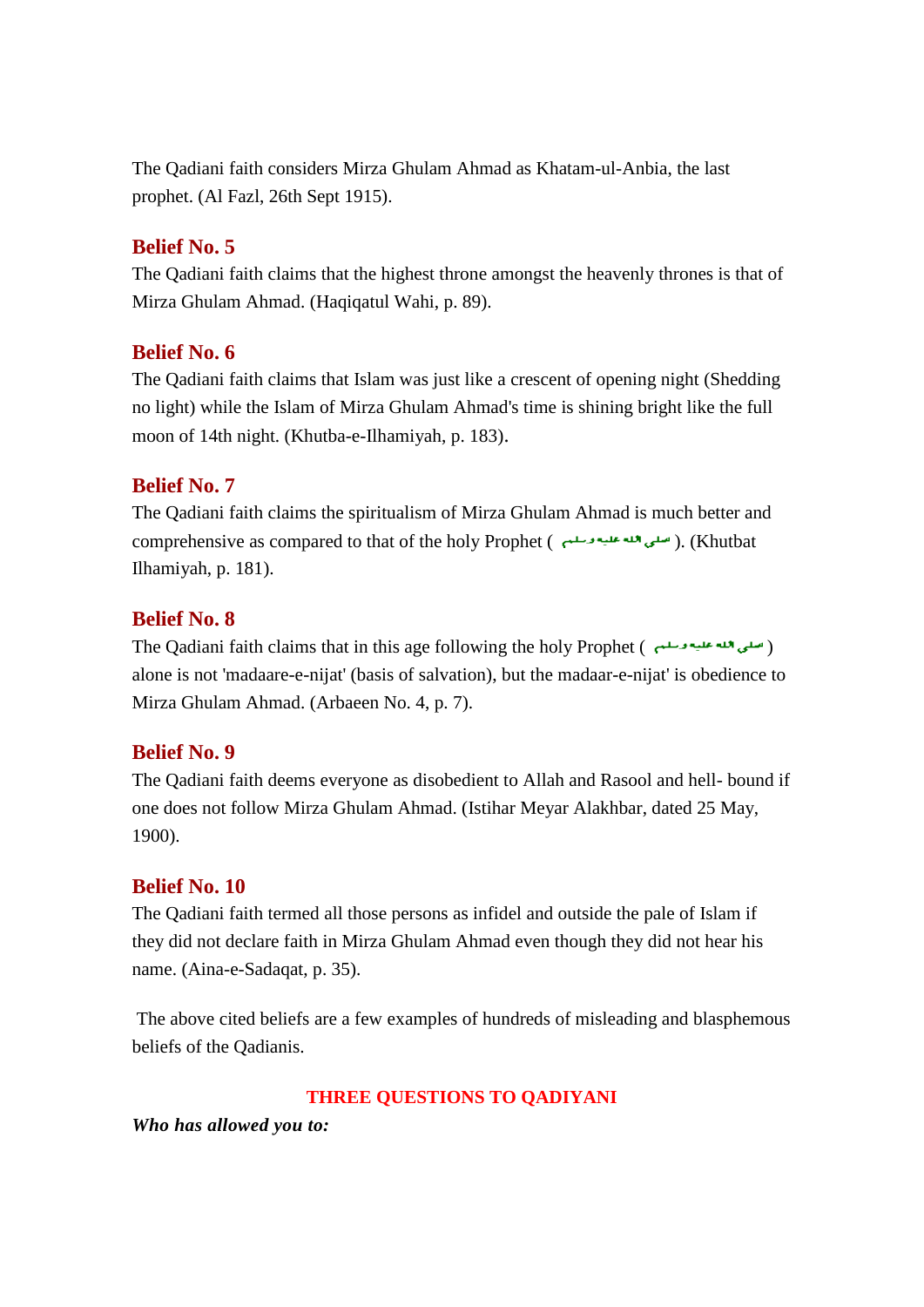The Qadiani faith considers Mirza Ghulam Ahmad as Khatam-ul-Anbia, the last prophet. (Al Fazl, 26th Sept 1915).

#### **Belief No. 5**

The Qadiani faith claims that the highest throne amongst the heavenly thrones is that of Mirza Ghulam Ahmad. (Haqiqatul Wahi, p. 89).

# **Belief No. 6**

The Qadiani faith claims that Islam was just like a crescent of opening night (Shedding no light) while the Islam of Mirza Ghulam Ahmad's time is shining bright like the full moon of 14th night. (Khutba-e-Ilhamiyah, p. 183).

## **Belief No. 7**

The Qadiani faith claims the spiritualism of Mirza Ghulam Ahmad is much better and comprehensive as compared to that of the holy Prophet ( سلى الله عليه وسلم ). (Khutbat Ilhamiyah, p. 181).

# **Belief No. 8**

The Qadiani faith claims that in this age following the holy Prophet ( ) alone is not 'madaare-e-nijat' (basis of salvation), but the madaar-e-nijat' is obedience to Mirza Ghulam Ahmad. (Arbaeen No. 4, p. 7).

## **Belief No. 9**

The Qadiani faith deems everyone as disobedient to Allah and Rasool and hell- bound if one does not follow Mirza Ghulam Ahmad. (Istihar Meyar Alakhbar, dated 25 May, 1900).

## **Belief No. 10**

The Qadiani faith termed all those persons as infidel and outside the pale of Islam if they did not declare faith in Mirza Ghulam Ahmad even though they did not hear his name. (Aina-e-Sadaqat, p. 35).

The above cited beliefs are a few examples of hundreds of misleading and blasphemous beliefs of the Qadianis.

## **THREE QUESTIONS TO QADIYANI**

*Who has allowed you to:*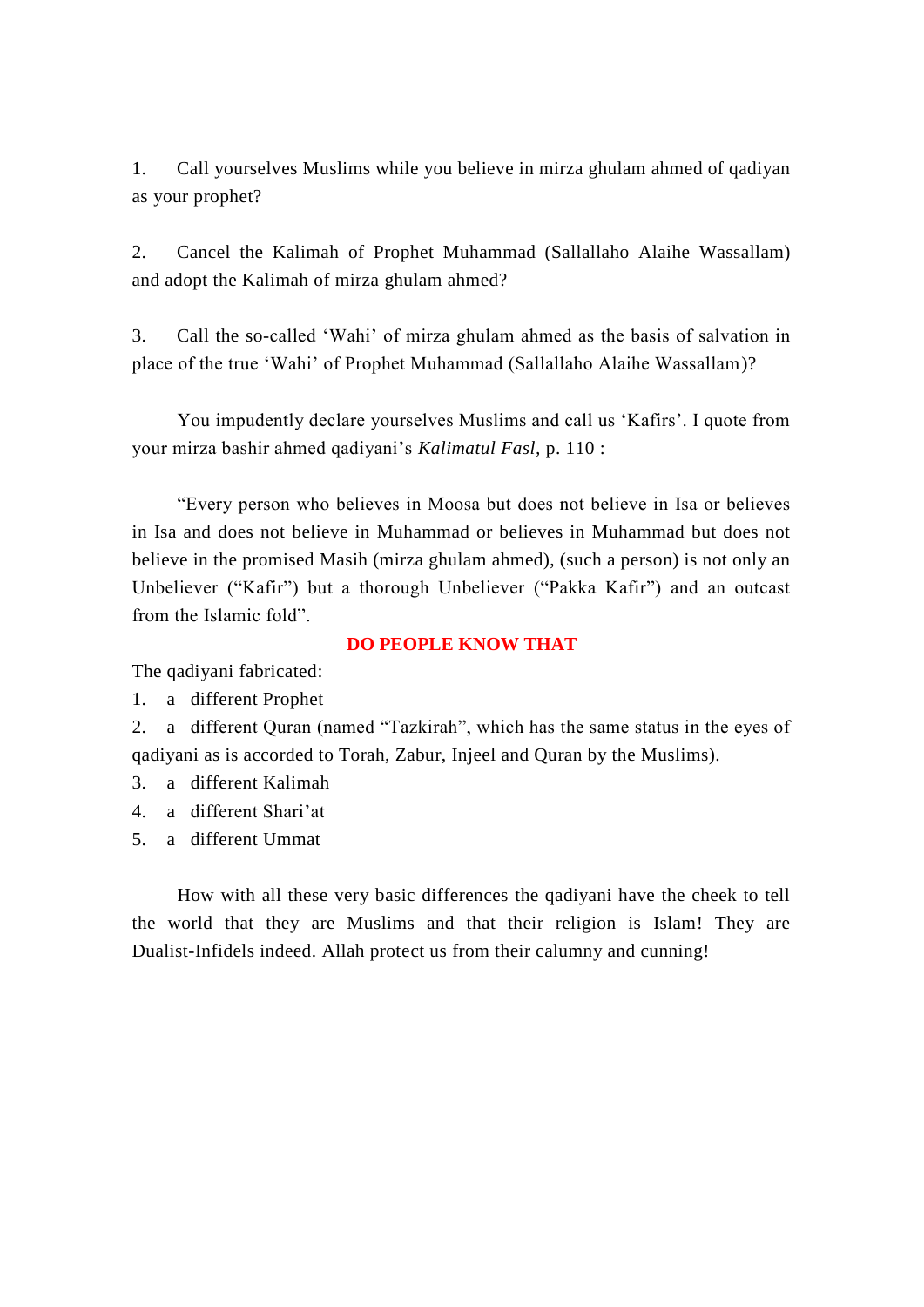1. Call yourselves Muslims while you believe in mirza ghulam ahmed of qadiyan as your prophet?

2. Cancel the Kalimah of Prophet Muhammad (Sallallaho Alaihe Wassallam) and adopt the Kalimah of mirza ghulam ahmed?

3. Call the so-called 'Wahi' of mirza ghulam ahmed as the basis of salvation in place of the true 'Wahi' of Prophet Muhammad (Sallallaho Alaihe Wassallam)?

You impudently declare yourselves Muslims and call us 'Kafirs'. I quote from your mirza bashir ahmed qadiyani's *Kalimatul Fasl,* p. 110 :

"Every person who believes in Moosa but does not believe in Isa or believes in Isa and does not believe in Muhammad or believes in Muhammad but does not believe in the promised Masih (mirza ghulam ahmed), (such a person) is not only an Unbeliever ("Kafir") but a thorough Unbeliever ("Pakka Kafir") and an outcast from the Islamic fold".

**DO PEOPLE KNOW THAT**

The qadiyani fabricated:

1. a different Prophet

2. a different Quran (named "Tazkirah", which has the same status in the eyes of qadiyani as is accorded to Torah, Zabur, Injeel and Quran by the Muslims).

- 3. a different Kalimah
- 4. a different Shari'at
- 5. a different Ummat

How with all these very basic differences the qadiyani have the cheek to tell the world that they are Muslims and that their religion is Islam! They are Dualist-Infidels indeed. Allah protect us from their calumny and cunning!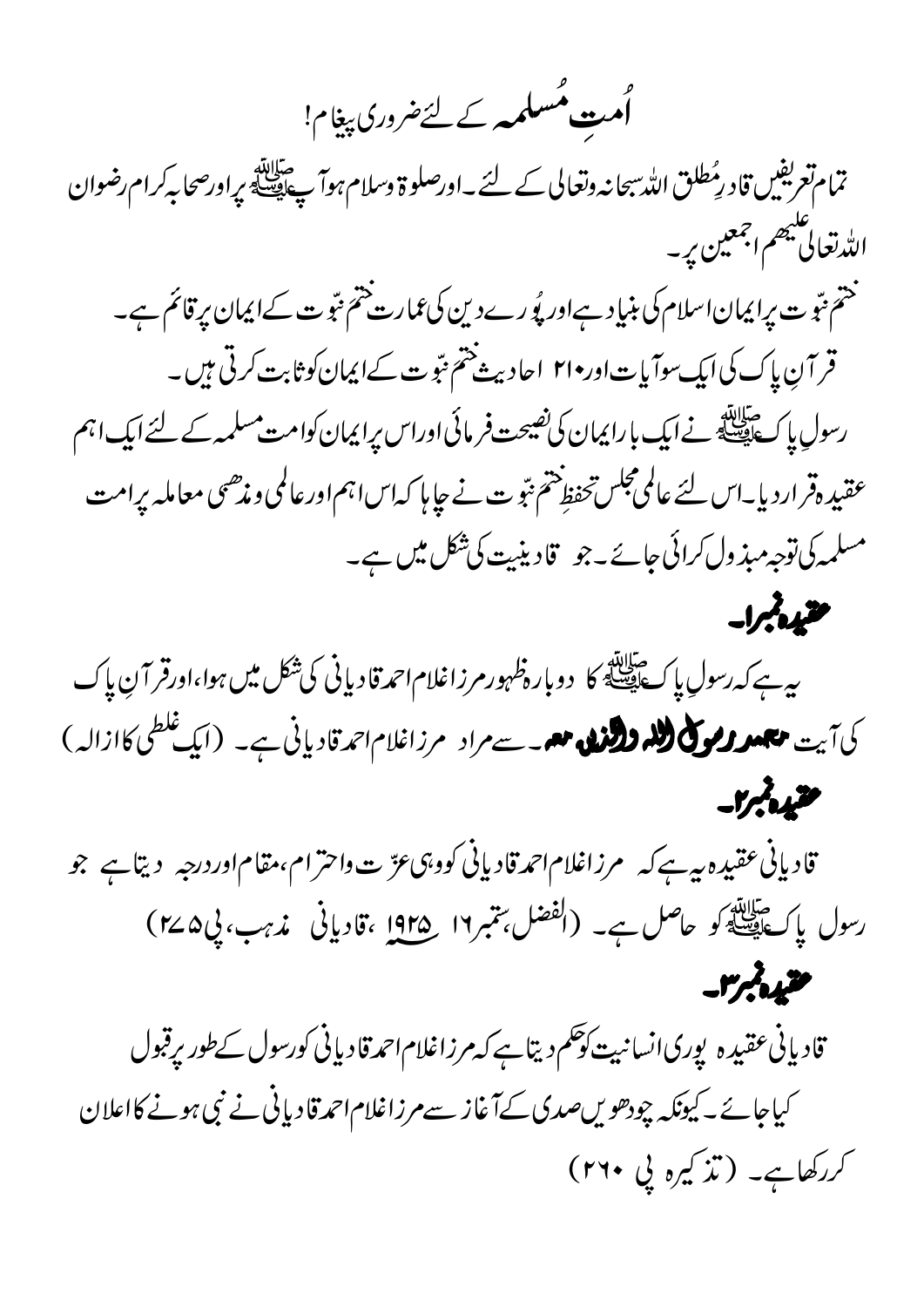گ**متِ مُسلمہ** کے لئےضروری پیغام!

تمام تعریفیں قادرِمُطلق اللہ سبحانہ وتعالی کے لئے ۔اورصلوۃ وسلام ہوآ پﷺ پراورصحابہکرام رضوان الله تعالى ينهم اجمعين يربه ختم <sub>نتب</sub>و ت پرایمان اسلام کی بنیاد ہےاور پُورےدین کی عمارت ختم نبّو ت کےایمان پر قائم ہے۔ قر آنِ پاک کی ایک سوآ یات اور•۲۱ احادیث ختم نبّوت کےایمان کوثابت کرتی ہیں۔ رسولِ پاکﷺ نےایک بارا یمان کی *نصیح*ت فر مائی اوراس پرایمان کوامت مسلمہ کے لئے ایک اہم عقبیدہقرار دیا۔اس لئے عالمی مجلس تحفظ ختم نتو ت نے جاپا کہاسا ہم اور عالمی و مذھبی معاملہ برامت مسلمہ کی توجہ مبذ ول کرائی جائے۔جو قادینیت کی شکل میں ہے۔ مقيدهم ا-

بیہ ہے کہ رسولِ پاکﷺ کا دوبارہ ظہور مرزاغلام احمدقادیانی کی شکل میں ہوا،اورقر آنِ پاک کی آیت میں وی کی ایک والندہ میں سے مراد مرزاغلام احمدقادیانی ہے۔ (ایک غلطی کاازالہ) مقيعة بمرار

قادیانی عقیدہ ہے ہے کہ مرزاغلام احمدقادیانی کووہی عزّیت واحترام،مقام اوردرجہ دیتاہے جو رسول پاکﷺ کو حاصل ہے۔ (الفضل، تتمبر ١٩ هـ191 ،قادیانی مذہب، پی&M) متبدأبه

قادیانی عقیدہ پوری انسانیت کوحکم دیتاہے کہ مرزاغلام احمدقادیانی کورسول کے طور پرقبول کیاجائے۔کیونکہ چودھویںصدی کےآغاز سےمرزاغلام احمدقادیانی نے نبی ہونے کااعلان کررکھاہے۔ (تذکیرہ پی ۲۶۰)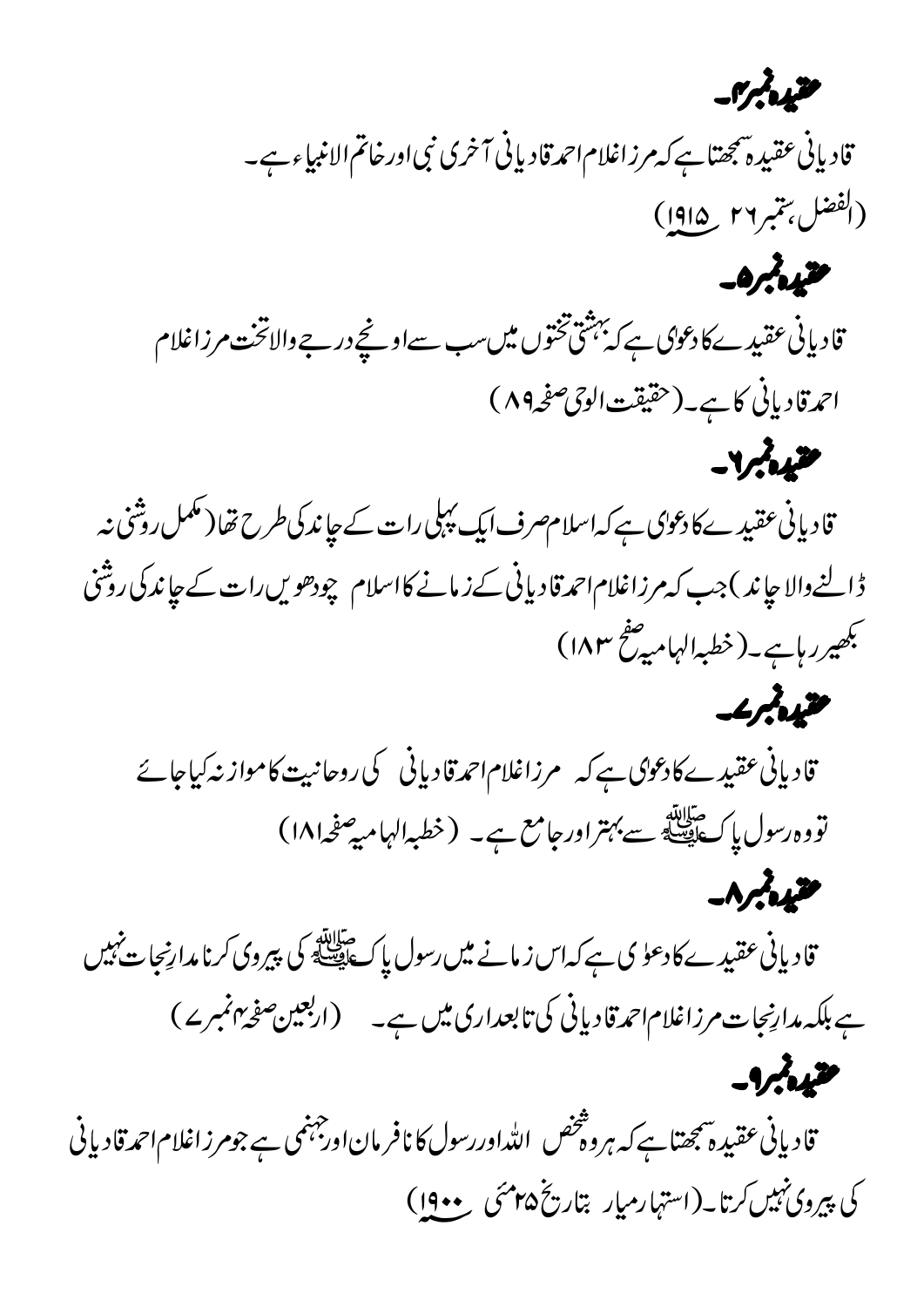مقيده بمرس

قادیانی عقیدہ پیچتا ہے کہ مرزاغلام احمدقادیانی آخری نبی اورخاتم الانبیاء ہے۔ (الفضل بتمبر٢٦ \_ ١٩١٥)

 $-0$ 

قادیانی عقیدے کادعوی ہے کہ بہشی تختوں میں سب سےاونچے درجے والاتخت مرزاغلام احمدقادیانی کاہے۔(حقیقت الوحی صفحہ ۸۹)  $-J/M$ 

قادیانی عقیدے کا دعوای ہے کہ اسلام صرف ایک پہلی رات کے جاند کی طرح تفا (مکمل روشنی نہ ڈالنے والا جاند ) جب کہ مرزاغلام احمد قادیانی کے زمانے کااسلام چودھویں رات کے جاند کی روشنی مجھیررہاہے۔(خطبہالہامیہ صفح ۱۸۳)

مقيده بمرعد

 $-9/2/2$ 

قادیانی عقیدےکا دعوال ہے کہ مرزاغلام احمدقادیانی کی روحانیت کامواز نہ کیاجائے تووه رسول پاکﷺ سے بہتراور جامع ہے۔ (خطبہالہامیہ صفحہ۱۸۱)  $-\Lambda$ 

قادیانی عقیدے کا دعوٰ ی ہے کہ اس زمانے میں رسول پاکﷺ کی پیروی کرنامدارنیجات *نہ*یں ہے بلکہ مدارنجات مرزاغلام احمدقادیانی کی تابعداری میں ہے۔ (اربعین صفحہ بہنمبرے)

قادیانی عقیدہ شجھتاہے کہ ہروہ تتخص اللۂاوررسول کا نافر مان اورجہنمی ہے جومرزاغلام احمدقادیانی کی پیروی نہیں کرتا۔(استہار میار بتاریخ۱۹۰۵ سمنی معدوں)